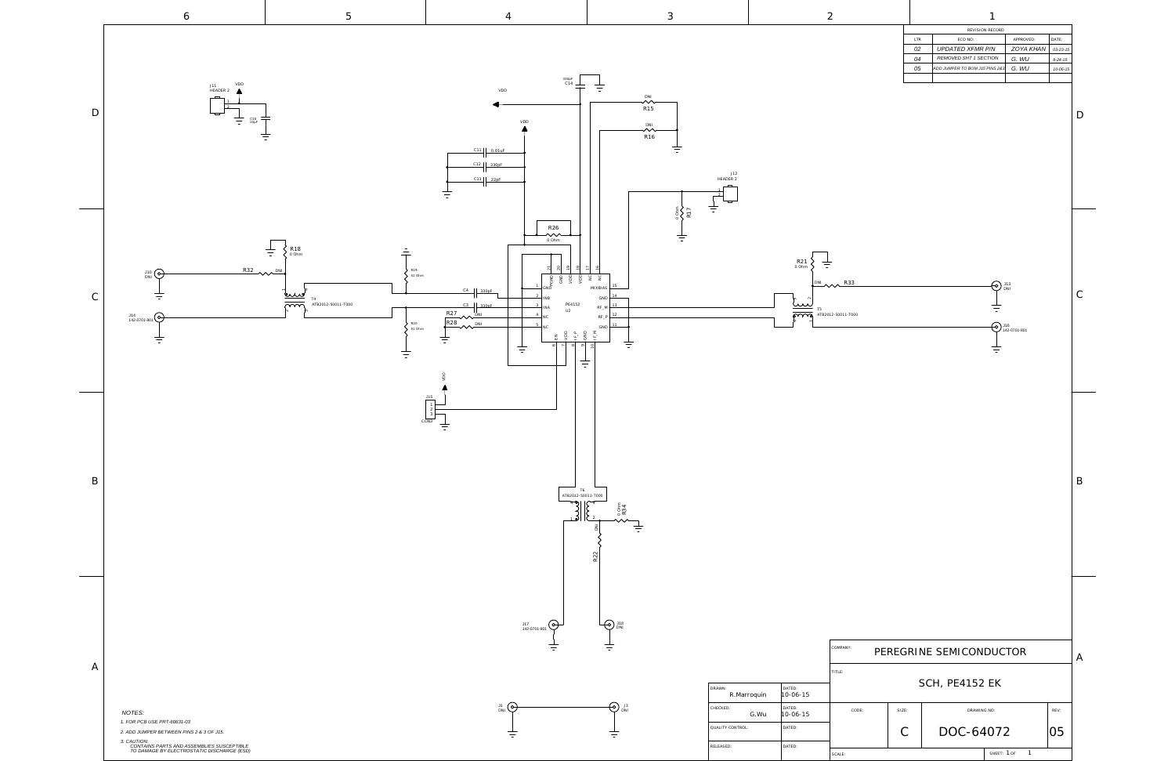